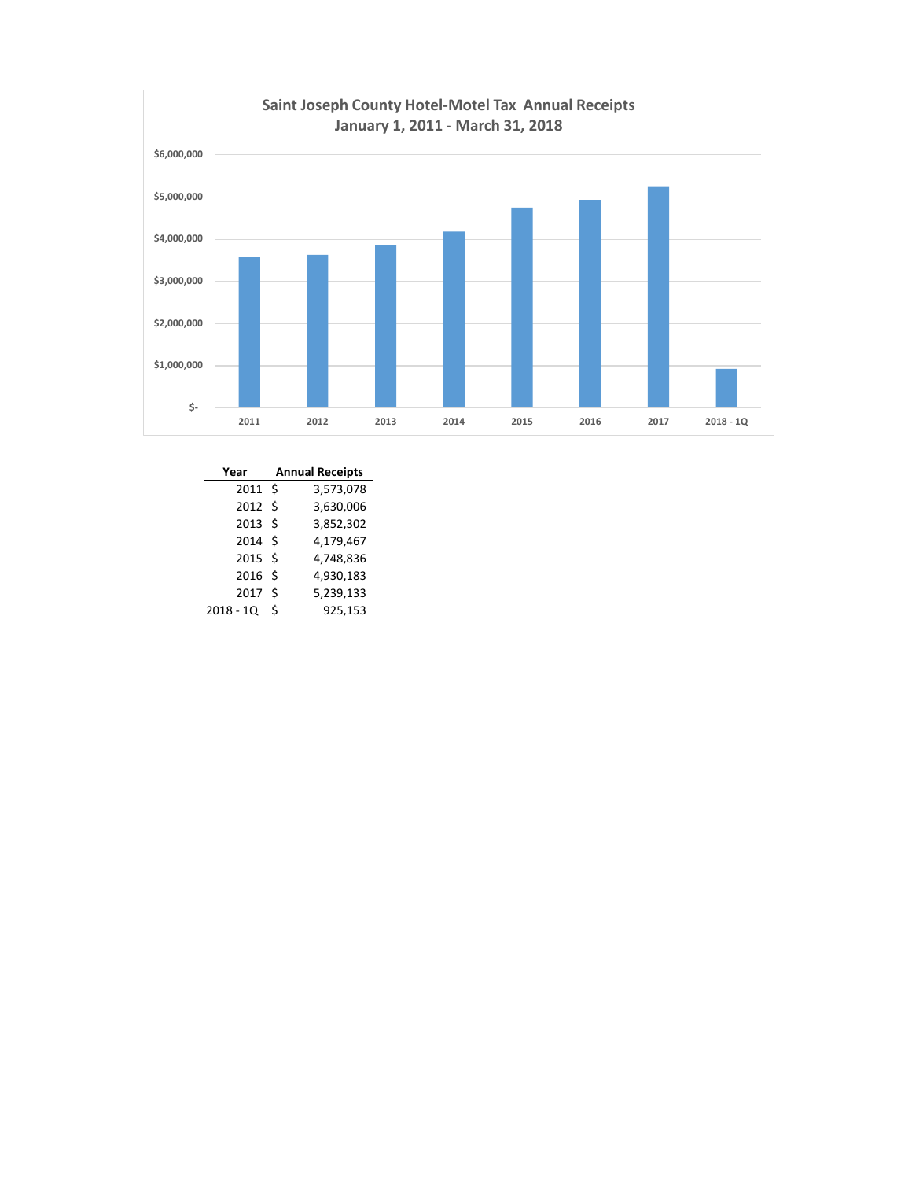

| Year              |   | <b>Annual Receipts</b> |
|-------------------|---|------------------------|
| $2011 \text{ }$   |   | 3,573,078              |
| 2012S             |   | 3,630,006              |
| $2013 \;$ \$      |   | 3,852,302              |
| 2014S             |   | 4,179,467              |
| 2015S             |   | 4,748,836              |
| 2016 <sub>5</sub> |   | 4,930,183              |
| 2017              | Ŝ | 5,239,133              |
| $2018 - 1Q$       | Ś | 925,153                |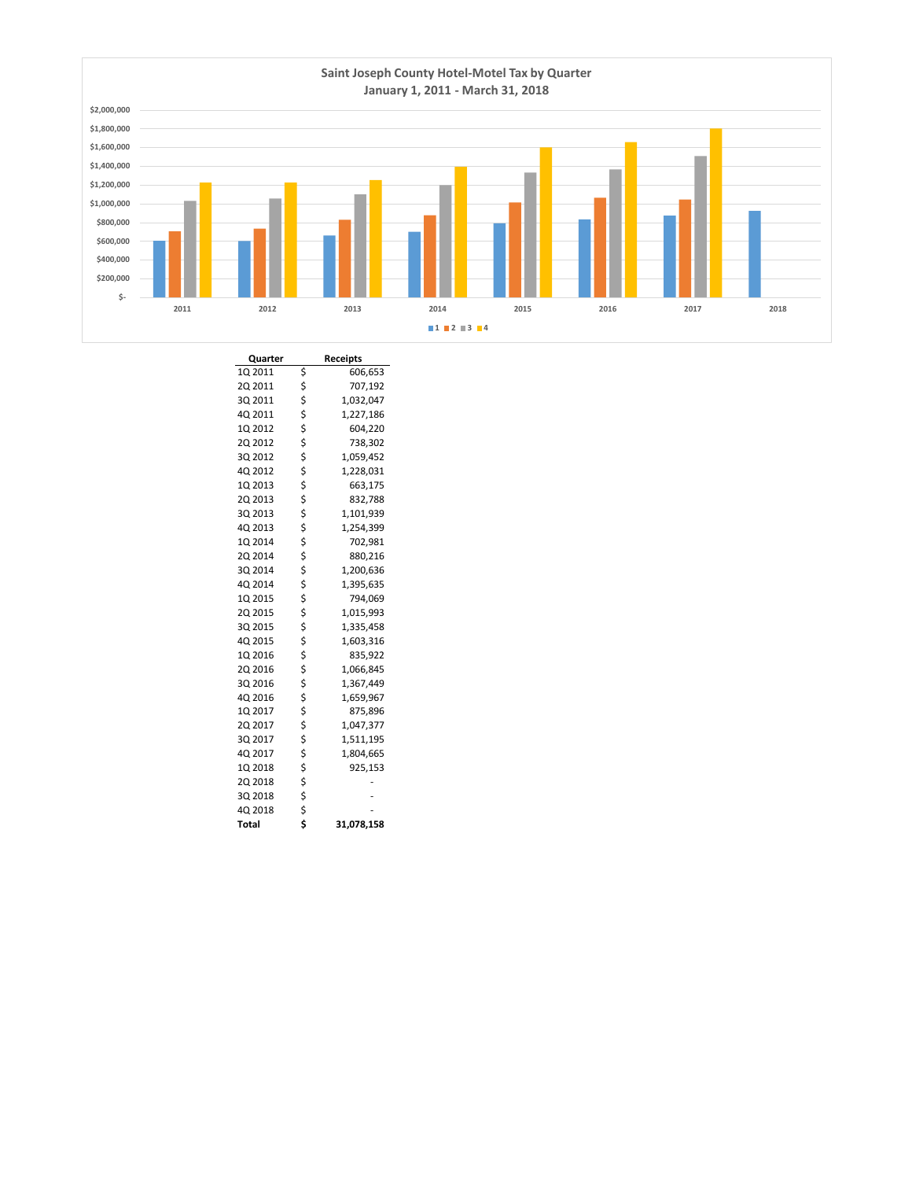

| Quarter |          | <b>Receipts</b> |
|---------|----------|-----------------|
| 1Q 2011 | \$       | 606,653         |
| 2Q 2011 | \$       | 707,192         |
| 3Q 2011 |          | 1,032,047       |
| 4Q 2011 |          | 1,227,186       |
| 1Q 2012 |          | 604,220         |
| 2Q 2012 | やややや ややや | 738,302         |
| 3Q 2012 |          | 1,059,452       |
| 4Q 2012 |          | 1,228,031       |
| 1Q 2013 |          | 663,175         |
| 2Q 2013 |          | 832,788         |
| 3Q 2013 | \$\$\$   | 1,101,939       |
| 4Q 2013 |          | 1,254,399       |
| 1Q 2014 |          | 702,981         |
| 2Q 2014 |          | 880,216         |
| 3Q 2014 | \$\$\$   | 1,200,636       |
| 4Q 2014 |          | 1,395,635       |
| 1Q 2015 |          | 794,069         |
| 2Q 2015 | やなみない    | 1,015,993       |
| 3Q 2015 |          | 1,335,458       |
| 4Q 2015 |          | 1,603,316       |
| 1Q 2016 |          | 835,922         |
| 2Q 2016 |          | 1,066,845       |
| 3Q 2016 | \$       | 1,367,449       |
| 4Q 2016 | \$       | 1,659,967       |
| 1Q 2017 |          | 875,896         |
| 2Q 2017 |          | 1,047,377       |
| 3Q 2017 |          | 1,511,195       |
| 4Q 2017 |          | 1,804,665       |
| 1Q 2018 | \$\$\$\$ | 925,153         |
| 2Q 2018 | \$       |                 |
| 3Q 2018 | \$       |                 |
| 4Q 2018 | \$       |                 |
| Total   | \$       | 31,078,158      |